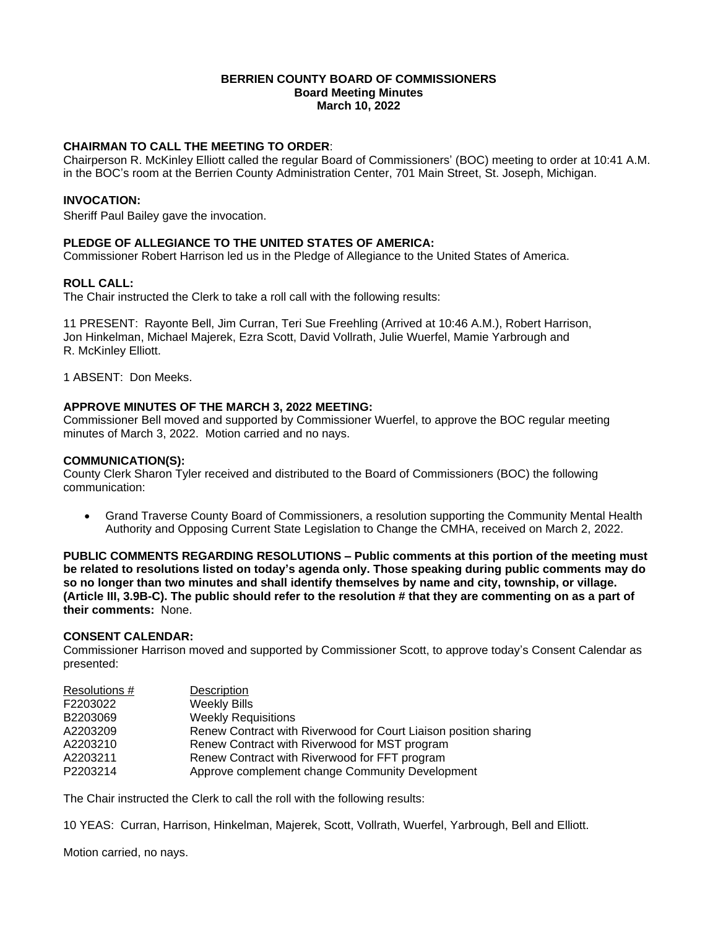#### **BERRIEN COUNTY BOARD OF COMMISSIONERS Board Meeting Minutes March 10, 2022**

# **CHAIRMAN TO CALL THE MEETING TO ORDER**:

Chairperson R. McKinley Elliott called the regular Board of Commissioners' (BOC) meeting to order at 10:41 A.M. in the BOC's room at the Berrien County Administration Center, 701 Main Street, St. Joseph, Michigan.

# **INVOCATION:**

Sheriff Paul Bailey gave the invocation.

# **PLEDGE OF ALLEGIANCE TO THE UNITED STATES OF AMERICA:**

Commissioner Robert Harrison led us in the Pledge of Allegiance to the United States of America.

# **ROLL CALL:**

The Chair instructed the Clerk to take a roll call with the following results:

11 PRESENT: Rayonte Bell, Jim Curran, Teri Sue Freehling (Arrived at 10:46 A.M.), Robert Harrison, Jon Hinkelman, Michael Majerek, Ezra Scott, David Vollrath, Julie Wuerfel, Mamie Yarbrough and R. McKinley Elliott.

1 ABSENT: Don Meeks.

# **APPROVE MINUTES OF THE MARCH 3, 2022 MEETING:**

Commissioner Bell moved and supported by Commissioner Wuerfel, to approve the BOC regular meeting minutes of March 3, 2022. Motion carried and no nays.

### **COMMUNICATION(S):**

County Clerk Sharon Tyler received and distributed to the Board of Commissioners (BOC) the following communication:

 Grand Traverse County Board of Commissioners, a resolution supporting the Community Mental Health Authority and Opposing Current State Legislation to Change the CMHA, received on March 2, 2022.

**PUBLIC COMMENTS REGARDING RESOLUTIONS – Public comments at this portion of the meeting must be related to resolutions listed on today's agenda only. Those speaking during public comments may do so no longer than two minutes and shall identify themselves by name and city, township, or village. (Article III, 3.9B-C). The public should refer to the resolution # that they are commenting on as a part of their comments:** None.

#### **CONSENT CALENDAR:**

Commissioner Harrison moved and supported by Commissioner Scott, to approve today's Consent Calendar as presented:

| Resolutions # | <b>Description</b>                                               |
|---------------|------------------------------------------------------------------|
| F2203022      | <b>Weekly Bills</b>                                              |
| B2203069      | <b>Weekly Requisitions</b>                                       |
| A2203209      | Renew Contract with Riverwood for Court Liaison position sharing |
| A2203210      | Renew Contract with Riverwood for MST program                    |
| A2203211      | Renew Contract with Riverwood for FFT program                    |
| P2203214      | Approve complement change Community Development                  |

The Chair instructed the Clerk to call the roll with the following results:

10 YEAS: Curran, Harrison, Hinkelman, Majerek, Scott, Vollrath, Wuerfel, Yarbrough, Bell and Elliott.

Motion carried, no nays.